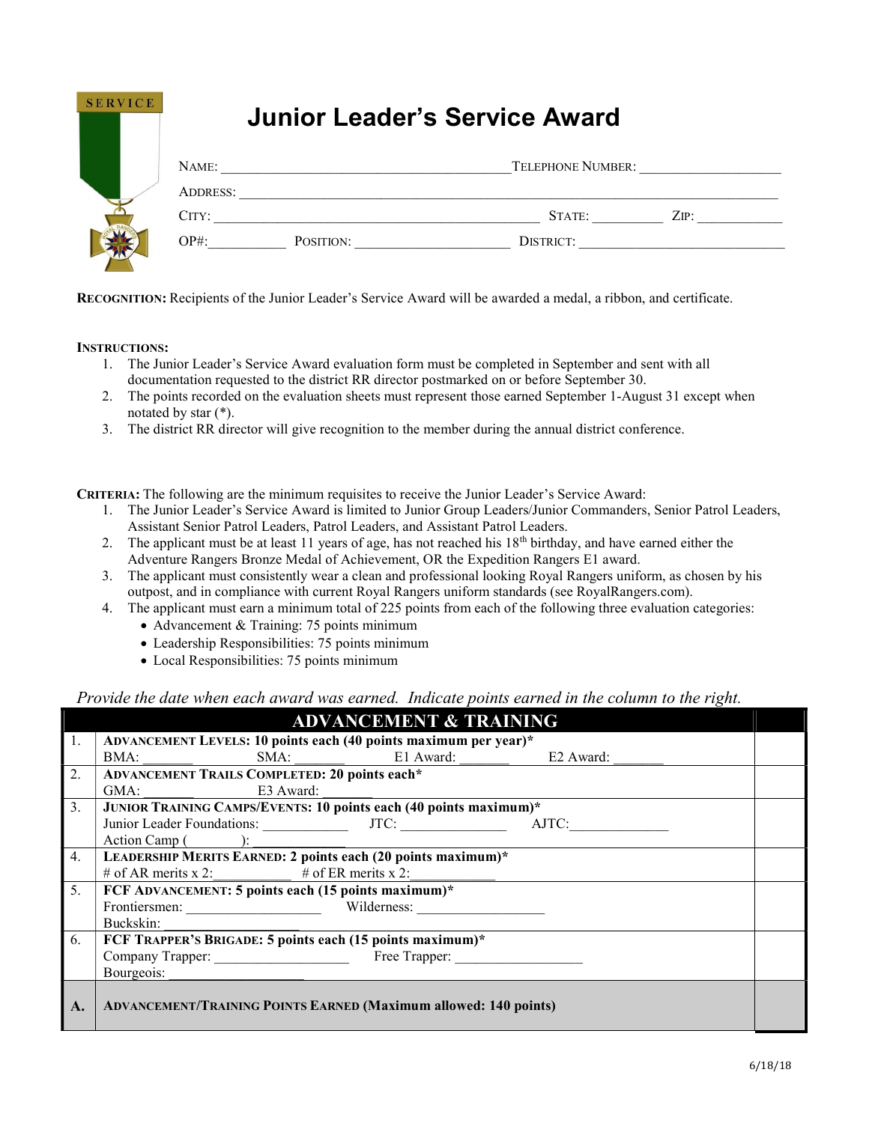| <b>SERVICE</b> | <b>Junior Leader's Service Award</b> |           |                          |      |
|----------------|--------------------------------------|-----------|--------------------------|------|
|                | NAME:<br><b>ADDRESS:</b>             |           | <b>TELEPHONE NUMBER:</b> |      |
|                | CITY:                                |           | STATE:                   | ZIP: |
|                | $OP#$ :                              | POSITION: | DISTRICT:                |      |

RECOGNITION: Recipients of the Junior Leader's Service Award will be awarded a medal, a ribbon, and certificate.

### INSTRUCTIONS:

- 1. The Junior Leader's Service Award evaluation form must be completed in September and sent with all documentation requested to the district RR director postmarked on or before September 30.
- 2. The points recorded on the evaluation sheets must represent those earned September 1-August 31 except when notated by star (\*).
- 3. The district RR director will give recognition to the member during the annual district conference.

CRITERIA: The following are the minimum requisites to receive the Junior Leader's Service Award:

- 1. The Junior Leader's Service Award is limited to Junior Group Leaders/Junior Commanders, Senior Patrol Leaders, Assistant Senior Patrol Leaders, Patrol Leaders, and Assistant Patrol Leaders.
- 2. The applicant must be at least 11 years of age, has not reached his  $18<sup>th</sup>$  birthday, and have earned either the Adventure Rangers Bronze Medal of Achievement, OR the Expedition Rangers E1 award.
- 3. The applicant must consistently wear a clean and professional looking Royal Rangers uniform, as chosen by his outpost, and in compliance with current Royal Rangers uniform standards (see RoyalRangers.com).
- 4. The applicant must earn a minimum total of 225 points from each of the following three evaluation categories:
	- Advancement & Training: 75 points minimum
	- Leadership Responsibilities: 75 points minimum
	- Local Responsibilities: 75 points minimum

## Provide the date when each award was earned. Indicate points earned in the column to the right.

|                | <b>ADVANCEMENT &amp; TRAINING</b>                                       |  |  |  |  |  |
|----------------|-------------------------------------------------------------------------|--|--|--|--|--|
| 1.             | ADVANCEMENT LEVELS: 10 points each (40 points maximum per year)*        |  |  |  |  |  |
|                | E1 Award: E2 Award:<br>SMA:<br>BMA:                                     |  |  |  |  |  |
| 2.             | <b>ADVANCEMENT TRAILS COMPLETED: 20 points each*</b>                    |  |  |  |  |  |
|                | E3 Award:<br>GMA:                                                       |  |  |  |  |  |
| 3 <sub>1</sub> | JUNIOR TRAINING CAMPS/EVENTS: 10 points each (40 points maximum)*       |  |  |  |  |  |
|                |                                                                         |  |  |  |  |  |
|                | Action Camp ( ):                                                        |  |  |  |  |  |
| 4.             | LEADERSHIP MERITS EARNED: 2 points each (20 points maximum)*            |  |  |  |  |  |
|                | # of AR merits x 2: $\qquad$ # of ER merits x 2:                        |  |  |  |  |  |
| 5.             | FCF ADVANCEMENT: 5 points each (15 points maximum)*                     |  |  |  |  |  |
|                | Frontiersmen: Wilderness:                                               |  |  |  |  |  |
|                | Buckskin:                                                               |  |  |  |  |  |
| 6.             | FCF TRAPPER'S BRIGADE: 5 points each (15 points maximum)*               |  |  |  |  |  |
|                | Company Trapper: Free Trapper: Free Trapper:                            |  |  |  |  |  |
|                | Bourgeois:                                                              |  |  |  |  |  |
| A.             | <b>ADVANCEMENT/TRAINING POINTS EARNED (Maximum allowed: 140 points)</b> |  |  |  |  |  |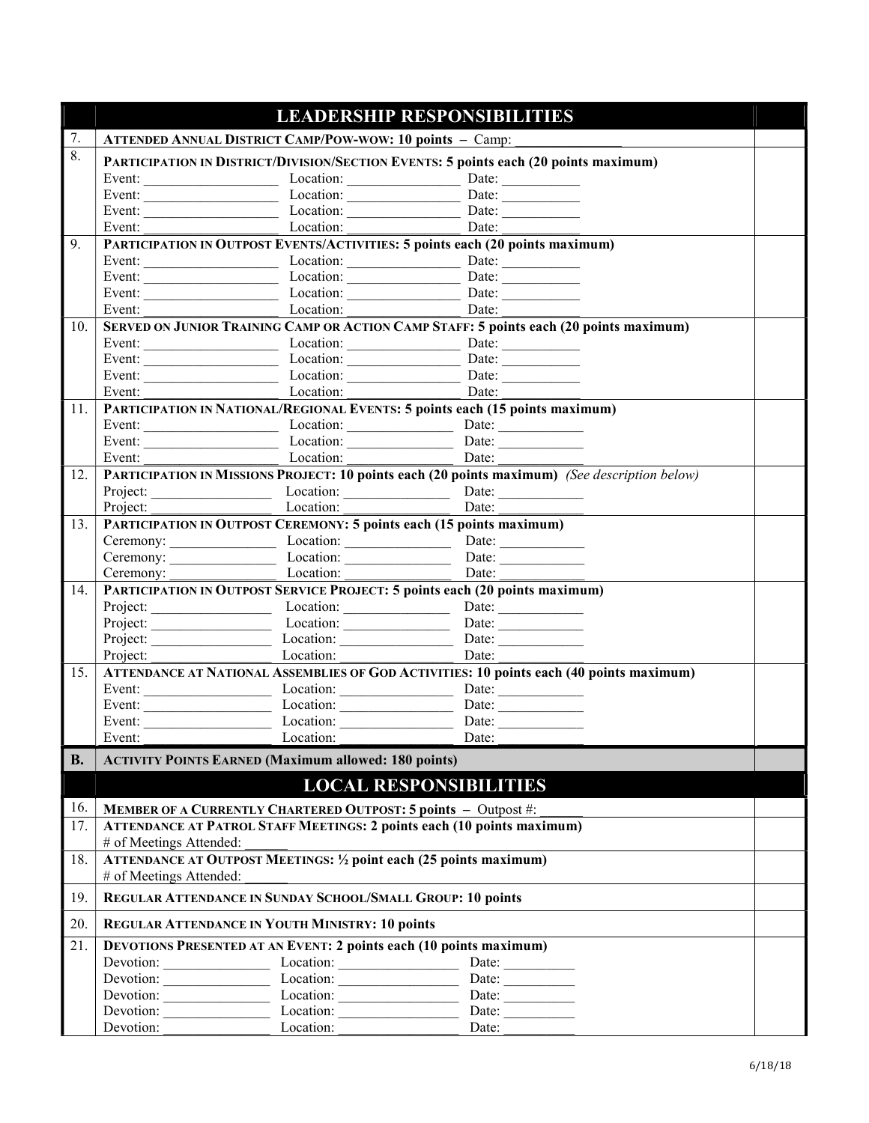|           |                         |                                                                               | <b>LEADERSHIP RESPONSIBILITIES</b>                                                            |  |
|-----------|-------------------------|-------------------------------------------------------------------------------|-----------------------------------------------------------------------------------------------|--|
| 7.        |                         | <b>ATTENDED ANNUAL DISTRICT CAMP/POW-WOW: 10 points - Camp:</b>               |                                                                                               |  |
| 8.        |                         |                                                                               | PARTICIPATION IN DISTRICT/DIVISION/SECTION EVENTS: 5 points each (20 points maximum)          |  |
|           |                         | Event: $\_\_\_\_\_\_\_\_\_\_\_\_\_\_\_\_\_\_\_\_\_\_\_\_\_\_\_\_.\_$          | Date: $\qquad \qquad$                                                                         |  |
|           |                         | Event: Location: Location:                                                    | Date: $\frac{1}{\sqrt{1-\frac{1}{2}}\cdot\frac{1}{2}}$                                        |  |
|           |                         |                                                                               |                                                                                               |  |
|           | Event: $\qquad \qquad$  | Location:                                                                     | Date:                                                                                         |  |
| 9.        |                         |                                                                               | PARTICIPATION IN OUTPOST EVENTS/ACTIVITIES: 5 points each (20 points maximum)                 |  |
|           |                         |                                                                               |                                                                                               |  |
|           |                         |                                                                               |                                                                                               |  |
|           |                         |                                                                               | Date:                                                                                         |  |
|           |                         | Event: Location:                                                              | Date:                                                                                         |  |
| 10.       |                         |                                                                               | SERVED ON JUNIOR TRAINING CAMP OR ACTION CAMP STAFF: 5 points each (20 points maximum)        |  |
|           |                         | Event: Location: Location: Date: Date:                                        |                                                                                               |  |
|           |                         |                                                                               | Date:                                                                                         |  |
|           |                         |                                                                               | Date:                                                                                         |  |
|           | Event:                  | Location:                                                                     | Date:                                                                                         |  |
| 11.       |                         |                                                                               | PARTICIPATION IN NATIONAL/REGIONAL EVENTS: 5 points each (15 points maximum)                  |  |
|           |                         |                                                                               |                                                                                               |  |
|           | Event:                  |                                                                               | Date:                                                                                         |  |
| 12.       |                         | Location:                                                                     | PARTICIPATION IN MISSIONS PROJECT: 10 points each (20 points maximum) (See description below) |  |
|           |                         |                                                                               |                                                                                               |  |
|           |                         | Location:                                                                     | Date:                                                                                         |  |
| 13.       | Project:                | PARTICIPATION IN OUTPOST CEREMONY: 5 points each (15 points maximum)          |                                                                                               |  |
|           |                         |                                                                               | Ceremony: Location: Location: Date: Date:                                                     |  |
|           |                         |                                                                               | Ceremony: Location: Location: Date: Date:                                                     |  |
|           | Ceremony:               | Location:                                                                     | Date:                                                                                         |  |
| 14.       |                         |                                                                               | PARTICIPATION IN OUTPOST SERVICE PROJECT: 5 points each (20 points maximum)                   |  |
|           |                         |                                                                               | Date: $\qquad \qquad$                                                                         |  |
|           |                         | Project: Location: Location: Date: Date:                                      |                                                                                               |  |
|           |                         |                                                                               |                                                                                               |  |
|           | Project:                | $\overline{\phantom{a}}$ Location:                                            | Date:                                                                                         |  |
| 15.       |                         |                                                                               | ATTENDANCE AT NATIONAL ASSEMBLIES OF GOD ACTIVITIES: 10 points each (40 points maximum)       |  |
|           |                         |                                                                               |                                                                                               |  |
|           |                         |                                                                               |                                                                                               |  |
|           |                         | Event: Location:                                                              | Date: $\qquad \qquad$                                                                         |  |
|           | Event:                  | Location: Date:                                                               |                                                                                               |  |
| <b>B.</b> |                         | <b>ACTIVITY POINTS EARNED (Maximum allowed: 180 points)</b>                   |                                                                                               |  |
|           |                         |                                                                               |                                                                                               |  |
|           |                         |                                                                               | <b>LOCAL RESPONSIBILITIES</b>                                                                 |  |
| 16.       |                         | <b>MEMBER OF A CURRENTLY CHARTERED OUTPOST: 5 points - Outpost #:</b>         |                                                                                               |  |
| 17.       |                         | <b>ATTENDANCE AT PATROL STAFF MEETINGS: 2 points each (10 points maximum)</b> |                                                                                               |  |
|           | # of Meetings Attended: |                                                                               |                                                                                               |  |
| 18.       |                         | <b>ATTENDANCE AT OUTPOST MEETINGS: 1/2 point each (25 points maximum)</b>     |                                                                                               |  |
|           | # of Meetings Attended: |                                                                               |                                                                                               |  |
| 19.       |                         | REGULAR ATTENDANCE IN SUNDAY SCHOOL/SMALL GROUP: 10 points                    |                                                                                               |  |
| 20.       |                         | <b>REGULAR ATTENDANCE IN YOUTH MINISTRY: 10 points</b>                        |                                                                                               |  |
| 21.       |                         | <b>DEVOTIONS PRESENTED AT AN EVENT: 2 points each (10 points maximum)</b>     |                                                                                               |  |
|           |                         | Devotion: Location: Location:                                                 | Date: $\_\_$                                                                                  |  |
|           |                         | Devotion: Location: Location:                                                 | Date:                                                                                         |  |
|           |                         | Devotion: Location: Location:                                                 | Date: $\qquad \qquad$                                                                         |  |
|           |                         | Devotion: Location: Location:                                                 | Date: $\qquad \qquad$                                                                         |  |
|           | Devotion:               | Location:                                                                     | Date:                                                                                         |  |